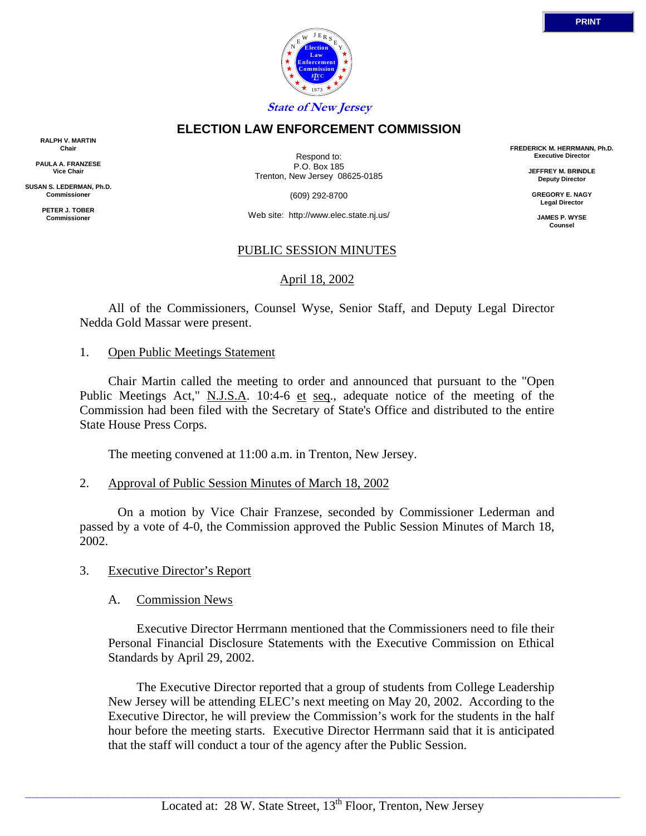

## **ELECTION LAW ENFORCEMENT COMMISSION**

**RALPH V. MARTIN Chair**

**PAULA A. FRANZESE Vice Chair**

**SUSAN S. LEDERMAN, Ph.D. Commissioner**

> **PETER J. TOBER Commissioner**

Respond to: P.O. Box 185 Trenton, New Jersey 08625-0185

(609) 292-8700

Web site: http://www.elec.state.nj.us/

# PUBLIC SESSION MINUTES

# April 18, 2002

 All of the Commissioners, Counsel Wyse, Senior Staff, and Deputy Legal Director Nedda Gold Massar were present.

### 1. Open Public Meetings Statement

 Chair Martin called the meeting to order and announced that pursuant to the "Open Public Meetings Act," N.J.S.A. 10:4-6 et seq., adequate notice of the meeting of the Commission had been filed with the Secretary of State's Office and distributed to the entire State House Press Corps.

The meeting convened at 11:00 a.m. in Trenton, New Jersey.

#### 2. Approval of Public Session Minutes of March 18, 2002

 On a motion by Vice Chair Franzese, seconded by Commissioner Lederman and passed by a vote of 4-0, the Commission approved the Public Session Minutes of March 18, 2002.

3. Executive Director's Report

A. Commission News

 Executive Director Herrmann mentioned that the Commissioners need to file their Personal Financial Disclosure Statements with the Executive Commission on Ethical Standards by April 29, 2002.

 The Executive Director reported that a group of students from College Leadership New Jersey will be attending ELEC's next meeting on May 20, 2002. According to the Executive Director, he will preview the Commission's work for the students in the half hour before the meeting starts. Executive Director Herrmann said that it is anticipated that the staff will conduct a tour of the agency after the Public Session.

 $\_$  ,  $\_$  ,  $\_$  ,  $\_$  ,  $\_$  ,  $\_$  ,  $\_$  ,  $\_$  ,  $\_$  ,  $\_$  ,  $\_$  ,  $\_$  ,  $\_$  ,  $\_$  ,  $\_$  ,  $\_$  ,  $\_$  ,  $\_$  ,  $\_$  ,  $\_$  ,  $\_$  ,  $\_$  ,  $\_$  ,  $\_$  ,  $\_$  ,  $\_$  ,  $\_$  ,  $\_$  ,  $\_$  ,  $\_$  ,  $\_$  ,  $\_$  ,  $\_$  ,  $\_$  ,  $\_$  ,  $\_$  ,  $\_$  ,

**FREDERICK M. HERRMANN, Ph.D. Executive Director**

> **JEFFREY M. BRINDLE Deputy Director**

**GREGORY E. NAGY Legal Director**

**JAMES P. WYSE Counsel**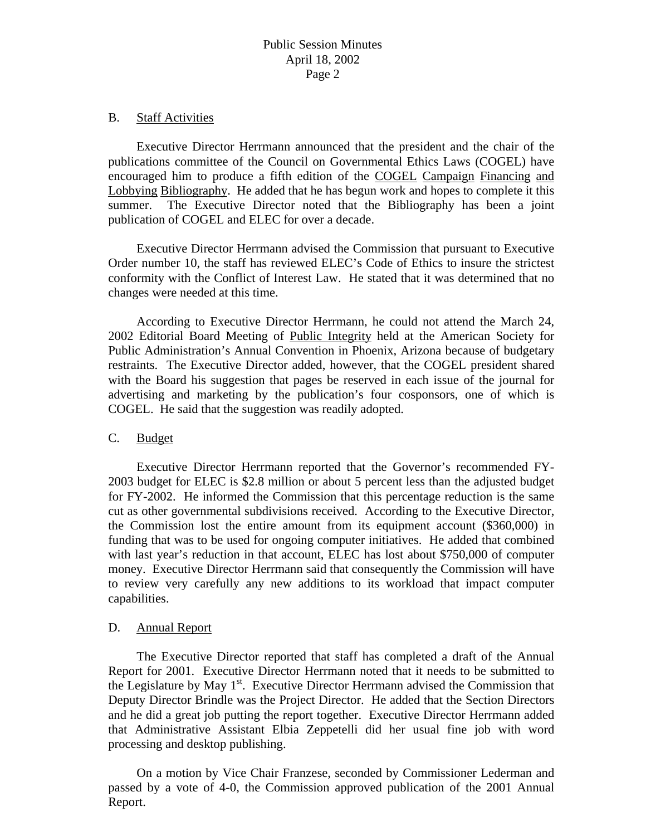#### B. Staff Activities

 Executive Director Herrmann announced that the president and the chair of the publications committee of the Council on Governmental Ethics Laws (COGEL) have encouraged him to produce a fifth edition of the COGEL Campaign Financing and Lobbying Bibliography. He added that he has begun work and hopes to complete it this summer. The Executive Director noted that the Bibliography has been a joint publication of COGEL and ELEC for over a decade.

 Executive Director Herrmann advised the Commission that pursuant to Executive Order number 10, the staff has reviewed ELEC's Code of Ethics to insure the strictest conformity with the Conflict of Interest Law. He stated that it was determined that no changes were needed at this time.

 According to Executive Director Herrmann, he could not attend the March 24, 2002 Editorial Board Meeting of Public Integrity held at the American Society for Public Administration's Annual Convention in Phoenix, Arizona because of budgetary restraints. The Executive Director added, however, that the COGEL president shared with the Board his suggestion that pages be reserved in each issue of the journal for advertising and marketing by the publication's four cosponsors, one of which is COGEL. He said that the suggestion was readily adopted.

## C. Budget

 Executive Director Herrmann reported that the Governor's recommended FY-2003 budget for ELEC is \$2.8 million or about 5 percent less than the adjusted budget for FY-2002. He informed the Commission that this percentage reduction is the same cut as other governmental subdivisions received. According to the Executive Director, the Commission lost the entire amount from its equipment account (\$360,000) in funding that was to be used for ongoing computer initiatives. He added that combined with last year's reduction in that account, ELEC has lost about \$750,000 of computer money. Executive Director Herrmann said that consequently the Commission will have to review very carefully any new additions to its workload that impact computer capabilities.

## D. Annual Report

 The Executive Director reported that staff has completed a draft of the Annual Report for 2001. Executive Director Herrmann noted that it needs to be submitted to the Legislature by May  $1<sup>st</sup>$ . Executive Director Herrmann advised the Commission that Deputy Director Brindle was the Project Director. He added that the Section Directors and he did a great job putting the report together. Executive Director Herrmann added that Administrative Assistant Elbia Zeppetelli did her usual fine job with word processing and desktop publishing.

 On a motion by Vice Chair Franzese, seconded by Commissioner Lederman and passed by a vote of 4-0, the Commission approved publication of the 2001 Annual Report.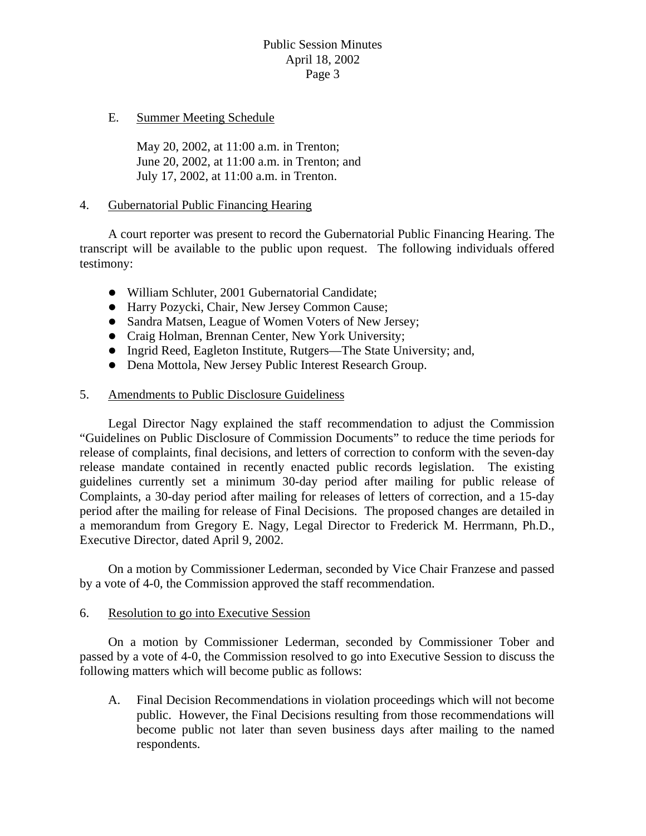# Public Session Minutes April 18, 2002 Page 3

## E. Summer Meeting Schedule

 May 20, 2002, at 11:00 a.m. in Trenton; June 20, 2002, at 11:00 a.m. in Trenton; and July 17, 2002, at 11:00 a.m. in Trenton.

#### 4. Gubernatorial Public Financing Hearing

 A court reporter was present to record the Gubernatorial Public Financing Hearing. The transcript will be available to the public upon request. The following individuals offered testimony:

- William Schluter, 2001 Gubernatorial Candidate;
- $\bullet$  Harry Pozycki, Chair, New Jersey Common Cause;
- Sandra Matsen, League of Women Voters of New Jersey;
- Craig Holman, Brennan Center, New York University;
- Ingrid Reed, Eagleton Institute, Rutgers—The State University; and,
- Dena Mottola, New Jersey Public Interest Research Group.

### 5. Amendments to Public Disclosure Guideliness

 Legal Director Nagy explained the staff recommendation to adjust the Commission "Guidelines on Public Disclosure of Commission Documents" to reduce the time periods for release of complaints, final decisions, and letters of correction to conform with the seven-day release mandate contained in recently enacted public records legislation. The existing guidelines currently set a minimum 30-day period after mailing for public release of Complaints, a 30-day period after mailing for releases of letters of correction, and a 15-day period after the mailing for release of Final Decisions. The proposed changes are detailed in a memorandum from Gregory E. Nagy, Legal Director to Frederick M. Herrmann, Ph.D., Executive Director, dated April 9, 2002.

 On a motion by Commissioner Lederman, seconded by Vice Chair Franzese and passed by a vote of 4-0, the Commission approved the staff recommendation.

## 6. Resolution to go into Executive Session

 On a motion by Commissioner Lederman, seconded by Commissioner Tober and passed by a vote of 4-0, the Commission resolved to go into Executive Session to discuss the following matters which will become public as follows:

A. Final Decision Recommendations in violation proceedings which will not become public. However, the Final Decisions resulting from those recommendations will become public not later than seven business days after mailing to the named respondents.